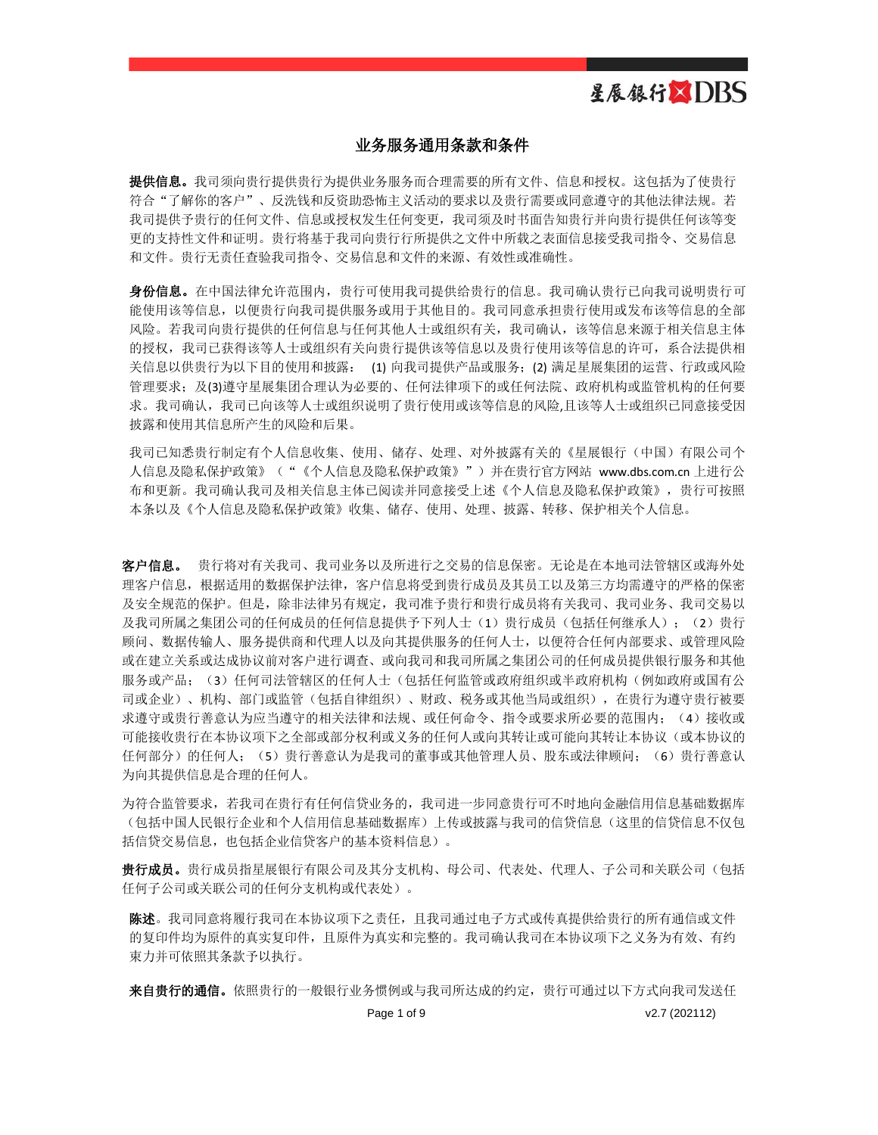### 业务服务通用条款和条件

提供信息。我司须向贵行提供贵行为提供业务服务而合理需要的所有文件、信息和授权。这包括为了使贵行 符合"了解你的客户"、反洗钱和反资助恐怖主义活动的要求以及贵行需要或同意遵守的其他法律法规。若 我司提供予贵行的任何文件、信息或授权发生任何变更,我司须及时书面告知贵行并向贵行提供任何该等变 更的支持性文件和证明。贵行将基于我司向贵行行所提供之文件中所载之表面信息接受我司指令、交易信息 和文件。贵行无责任查验我司指令、交易信息和文件的来源、有效性或准确性。

身份信息。在中国法律允许范围内,贵行可使用我司提供给贵行的信息。我司确认贵行已向我司说明贵行可 能使用该等信息,以便贵行向我司提供服务或用于其他目的。我司同意承担贵行使用或发布该等信息的全部 风险。若我司向贵行提供的任何信息与任何其他人士或组织有关,我司确认,该等信息来源于相关信息主体 的授权,我司已获得该等人士或组织有关向贵行提供该等信息以及贵行使用该等信息的许可,系合法提供相 关信息以供贵行为以下目的使用和披露: (1) 向我司提供产品或服务;(2) 满足星展集团的运营、行政或风险 管理要求;及(3)遵守星展集团合理认为必要的、任何法律项下的或任何法院、政府机构或监管机构的任何要 求。我司确认,我司已向该等人士或组织说明了贵行使用或该等信息的风险,且该等人士或组织已同意接受因 披露和使用其信息所产生的风险和后果。

我司已知悉贵行制定有个人信息收集、使用、储存、处理、对外披露有关的《星展银行(中国)有限公司个 人信息及隐私保护政策》("《个人信息及隐私保护政策》")并在贵行官方网站 [www.dbs.com.cn](http://www.dbs.com.cn/) 上进行公 布和更新。我司确认我司及相关信息主体已阅读并同意接受上述《个人信息及隐私保护政策》,贵行可按照 本条以及《个人信息及隐私保护政策》收集、储存、使用、处理、披露、转移、保护相关个人信息。

客户信息。 贵行将对有关我司、我司业务以及所进行之交易的信息保密。无论是在本地司法管辖区或海外处 理客户信息,根据适用的数据保护法律,客户信息将受到贵行成员及其员工以及第三方均需遵守的严格的保密 及安全规范的保护。但是,除非法律另有规定,我司准予贵行和贵行成员将有关我司、我司业务、我司交易以 及我司所属之集团公司的任何成员的任何信息提供予下列人士(1)贵行成员(包括任何继承人);(2)贵行 顾问、数据传输人、服务提供商和代理人以及向其提供服务的任何人士,以便符合任何内部要求、或管理风险 或在建立关系或达成协议前对客户进行调查、或向我司和我司所属之集团公司的任何成员提供银行服务和其他 服务或产品;(3)任何司法管辖区的任何人士(包括任何监管或政府组织或半政府机构(例如政府或国有公 司或企业)、机构、部门或监管(包括自律组织)、财政、税务或其他当局或组织),在贵行为遵守贵行被要 求遵守或贵行善意认为应当遵守的相关法律和法规、或任何命令、指令或要求所必要的范围内;(4)接收或 可能接收贵行在本协议项下之全部或部分权利或义务的任何人或向其转让或可能向其转让本协议(或本协议的 任何部分)的任何人;(5)贵行善意认为是我司的董事或其他管理人员、股东或法律顾问;(6)贵行善意认 为向其提供信息是合理的任何人。

为符合监管要求,若我司在贵行有任何信贷业务的,我司进一步同意贵行可不时地向金融信用信息基础数据库 (包括中国人民银行企业和个人信用信息基础数据库)上传或披露与我司的信贷信息(这里的信贷信息不仅包 括信贷交易信息,也包括企业信贷客户的基本资料信息)。

贵行成员。贵行成员指星展银行有限公司及其分支机构、母公司、代表处、代理人、子公司和关联公司(包括 任何子公司或关联公司的任何分支机构或代表处)。

陈述。我司同意将履行我司在本协议项下之责任,且我司通过电子方式或传真提供给贵行的所有通信或文件 的复印件均为原件的真实复印件,且原件为真实和完整的。我司确认我司在本协议项下之义务为有效、有约 束力并可依照其条款予以执行。

来自贵行的通信。依照贵行的一般银行业务惯例或与我司所达成的约定,贵行可通过以下方式向我司发送任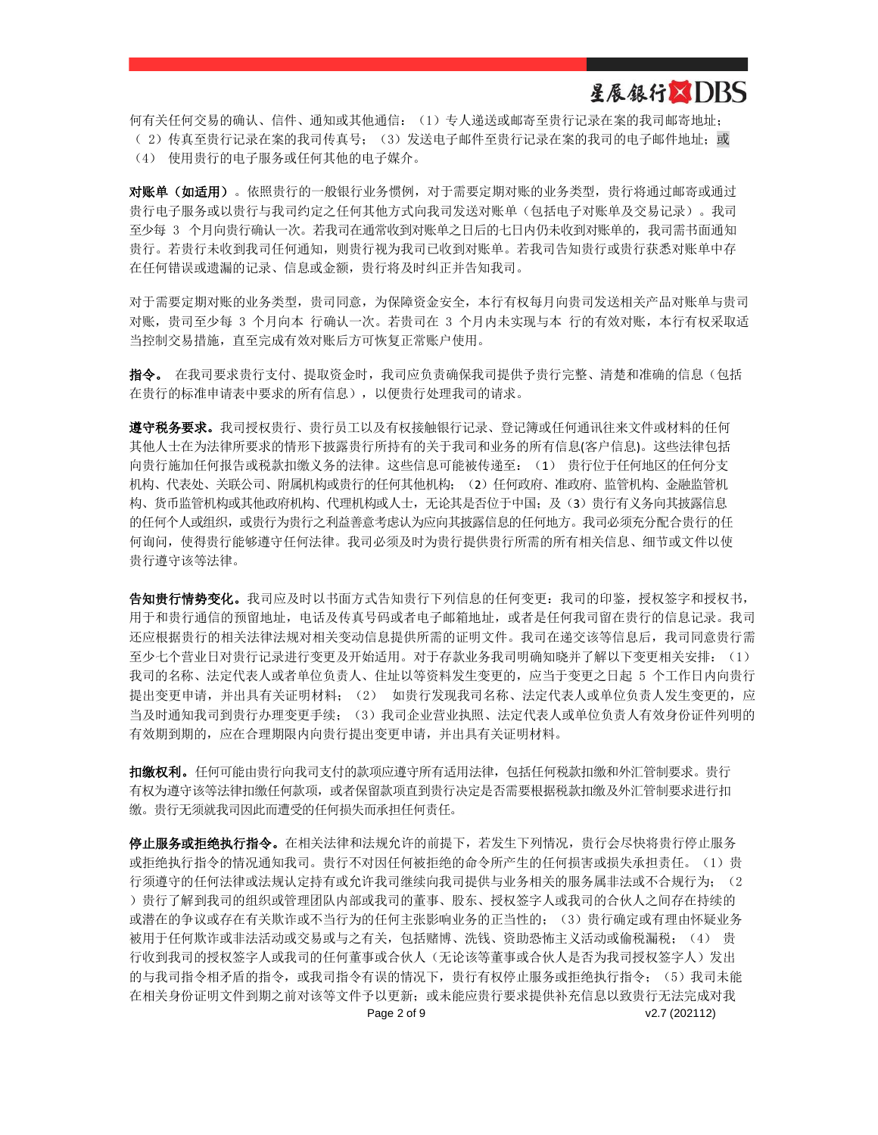## 星展银行XDBS

何有关任何交易的确认、信件、通知或其他通信:(1)专人递送或邮寄至贵行记录在案的我司邮寄地址;

- ( 2) 传真至贵行记录在案的我司传真号; (3) 发送电子邮件至贵行记录在案的我司的电子邮件地址; 或
- (4) 使用贵行的电子服务或任何其他的电子媒介。

对账单(如适用)。依照贵行的一般银行业务惯例,对于需要定期对账的业务类型,贵行将通过邮寄或通过 贵行电子服务或以贵行与我司约定之任何其他方式向我司发送对账单(包括电子对账单及交易记录)。我司 至少每 3 个月向贵行确认一次。若我司在通常收到对账单之日后的七日内仍未收到对账单的,我司需书面通知 贵行。若贵行未收到我司任何通知,则贵行视为我司已收到对账单。若我司告知贵行或贵行获悉对账单中存 在任何错误或遗漏的记录、信息或金额,贵行将及时纠正并告知我司。

对于需要定期对账的业务类型,贵司同意,为保障资金安全,本行有权每月向贵司发送相关产品对账单与贵司 对账,贵司至少每 3 个月向本 行确认一次。若贵司在 3 个月内未实现与本 行的有效对账,本行有权采取适 当控制交易措施,直至完成有效对账后方可恢复正常账户使用。

指令。 在我司要求贵行支付、提取资金时,我司应负责确保我司提供予贵行完整、清楚和准确的信息(包括 在贵行的标准申请表中要求的所有信息),以便贵行处理我司的请求。

**遵守税务要求。**我司授权贵行、贵行员工以及有权接触银行记录、登记簿或任何通讯往来文件或材料的任何 其他人士在为法律所要求的情形下披露贵行所持有的关于我司和业务的所有信息(客户信息)。这些法律包括 向贵行施加任何报告或税款扣缴义务的法律。这些信息可能被传递至:(1) 贵行位于任何地区的任何分支 机构、代表处、关联公司、附属机构或贵行的任何其他机构;(2)任何政府、准政府、监管机构、金融监管机 构、货币监管机构或其他政府机构、代理机构或人士,无论其是否位于中国;及(3)贵行有义务向其披露信息 的任何个人或组织,或贵行为贵行之利益善意考虑认为应向其披露信息的任何地方。我司必须充分配合贵行的任 何询问,使得贵行能够遵守任何法律。我司必须及时为贵行提供贵行所需的所有相关信息、细节或文件以使 贵行遵守该等法律。

告知贵行情势变化。我司应及时以书面方式告知贵行下列信息的任何变更:我司的印鉴,授权签字和授权书, 用于和贵行通信的预留地址,电话及传真号码或者电子邮箱地址,或者是任何我司留在贵行的信息记录。我司 还应根据贵行的相关法律法规对相关变动信息提供所需的证明文件。我司在递交该等信息后,我司同意贵行需 至少七个营业日对贵行记录进行变更及开始适用。对于存款业务我司明确知晓并了解以下变更相关安排: (1) 我司的名称、法定代表人或者单位负责人、住址以等资料发生变更的,应当于变更之日起 5 个工作日内向贵行 提出变更申请,并出具有关证明材料; (2) 如贵行发现我司名称、法定代表人或单位负责人发生变更的,应 当及时通知我司到贵行办理变更手续;(3)我司企业营业执照、法定代表人或单位负责人有效身份证件列明的 有效期到期的,应在合理期限内向贵行提出变更申请,并出具有关证明材料。

扣缴权利。任何可能由贵行向我司支付的款项应遵守所有适用法律,包括任何税款扣缴和外汇管制要求。贵行 有权为遵守该等法律扣缴任何款项,或者保留款项直到贵行决定是否需要根据税款扣缴及外汇管制要求进行扣 缴。贵行无须就我司因此而遭受的任何损失而承担任何责任。

Page 2 of 9 v2.7 (202112) 停止服务或拒绝执行指令。在相关法律和法规允许的前提下,若发生下列情况,贵行会尽快将贵行停止服务 或拒绝执行指令的情况通知我司。贵行不对因任何被拒绝的命令所产生的任何损害或损失承担责任。(1)贵 行须遵守的任何法律或法规认定持有或允许我司继续向我司提供与业务相关的服务属非法或不合规行为; (2 )贵行了解到我司的组织或管理团队内部或我司的董事、股东、授权签字人或我司的合伙人之间存在持续的 或潜在的争议或存在有关欺诈或不当行为的任何主张影响业务的正当性的; (3)贵行确定或有理由怀疑业务 被用于任何欺诈或非法活动或交易或与之有关,包括赌博、洗钱、资助恐怖主义活动或偷税漏税; (4) 贵 行收到我司的授权签字人或我司的任何董事或合伙人(无论该等董事或合伙人是否为我司授权签字人)发出 的与我司指令相矛盾的指令,或我司指令有误的情况下,贵行有权停止服务或拒绝执行指令;(5)我司未能 在相关身份证明文件到期之前对该等文件予以更新;或未能应贵行要求提供补充信息以致贵行无法完成对我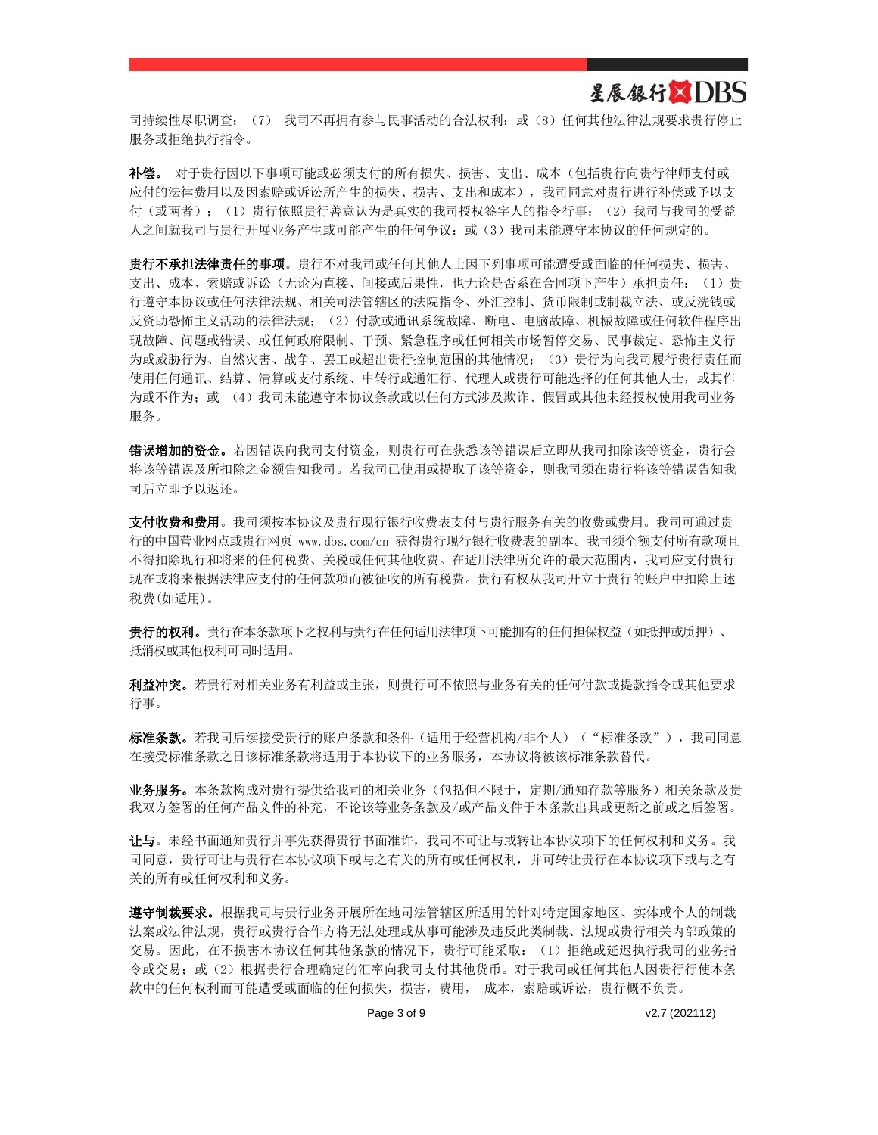### 星展银行XDBS

司持续性尽职调查; (7) 我司不再拥有参与民事活动的合法权利;或(8)任何其他法律法规要求贵行停止 服务或拒绝执行指令。

补偿。 对于贵行因以下事项可能或必须支付的所有损失、损害、支出、成本(包括贵行向贵行律师支付或 应付的法律费用以及因索赔或诉讼所产生的损失、损害、支出和成本),我司同意对贵行进行补偿或予以支 付(或两者);(1)贵行依照贵行善意认为是真实的我司授权签字人的指令行事;(2)我司与我司的受益 人之间就我司与贵行开展业务产生或可能产生的任何争议;或(3)我司未能遵守本协议的任何规定的。

贵行不承担法律责任的事项。贵行不对我司或任何其他人士因下列事项可能遭受或面临的任何损失、损害、 支出、成本、索赔或诉讼(无论为直接、间接或后果性,也无论是否系在合同项下产生)承担责任:(1)贵 行遵守本协议或任何法律法规、相关司法管辖区的法院指令、外汇控制、货币限制或制裁立法、或反洗钱或 反资助恐怖主义活动的法律法规;(2)付款或通讯系统故障、断电、电脑故障、机械故障或任何软件程序出 现故障、问题或错误、或任何政府限制、干预、紧急程序或任何相关市场暂停交易、民事裁定、恐怖主义行 为或威胁行为、自然灾害、战争、罢工或超出贵行控制范围的其他情况; (3)贵行为向我司履行贵行责任而 使用任何通讯、结算、清算或支付系统、中转行或通汇行、代理人或贵行可能选择的任何其他人士,或其作 为或不作为;或 (4)我司未能遵守本协议条款或以任何方式涉及欺诈、假冒或其他未经授权使用我司业务 服务。

错误增加的资金。若因错误向我司支付资金,则贵行可在获悉该等错误后立即从我司扣除该等资金,贵行会 将该等错误及所扣除之金额告知我司。若我司已使用或提取了该等资金,则我司须在贵行将该等错误告知我 司后立即予以返还。

支付收费和费用。我司须按本协议及贵行现行银行收费表支付与贵行服务有关的收费或费用。我司可通过贵 行的中国营业网点或贵行网页 [www.dbs.com/cn](http://www.dbs.com/cn) 获得贵行现行银行收费表的副本。我司须全额支付所有款项且 不得扣除现行和将来的任何税费、关税或任何其他收费。在适用法律所允许的最大范围内,我司应支付贵行 现在或将来根据法律应支付的任何款项而被征收的所有税费。贵行有权从我司开立于贵行的账户中扣除上述 税费(如适用)。

贵行的权利。贵行在本条款项下之权利与贵行在任何适用法律项下可能拥有的任何担保权益(如抵押或质押)、 抵消权或其他权利可同时适用。

利益冲突。若贵行对相关业务有利益或主张,则贵行可不依照与业务有关的任何付款或提款指令或其他要求 行事。

**标准条款。**若我司后续接受贵行的账户条款和条件(适用于经营机构/非个人)("标准条款"),我司同意 在接受标准条款之日该标准条款将适用于本协议下的业务服务,本协议将被该标准条款替代。

业务服务。本条款构成对贵行提供给我司的相关业务(包括但不限于,定期/通知存款等服务)相关条款及贵 我双方签署的任何产品文件的补充,不论该等业务条款及/或产品文件于本条款出具或更新之前或之后签署。

让与。未经书面通知贵行并事先获得贵行书面准许,我司不可让与或转让本协议项下的任何权利和义务。我 司同意,贵行可让与贵行在本协议项下或与之有关的所有或任何权利,并可转让贵行在本协议项下或与之有 关的所有或任何权利和义务。

遵守制裁要求。根据我司与贵行业务开展所在地司法管辖区所适用的针对特定国家地区、实体或个人的制裁 法案或法律法规,贵行或贵行合作方将无法处理或从事可能涉及违反此类制裁、法规或贵行相关内部政策的 交易。因此,在不损害本协议任何其他条款的情况下,贵行可能采取:(1)拒绝或延迟执行我司的业务指 令或交易;或(2)根据贵行合理确定的汇率向我司支付其他货币。对于我司或任何其他人因贵行行使本条 款中的任何权利而可能遭受或面临的任何损失,损害,费用,成本,索赔或诉讼,贵行概不负责。

Page 3 of 9 v2.7 (202112)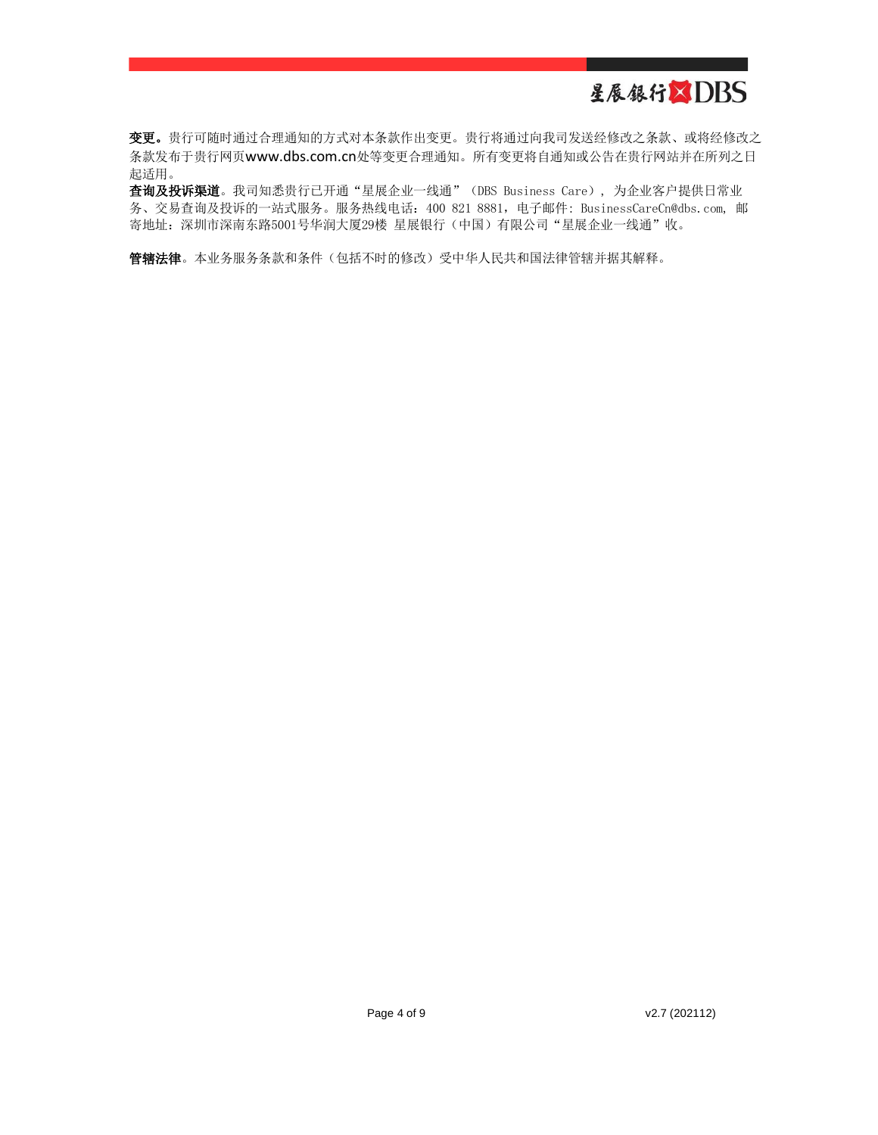变更。贵行可随时通过合理通知的方式对本条款作出变更。贵行将通过向我司发送经修改之条款、或将经修改之 条款发布于贵行网页[www.dbs.com.cn](http://www.dbs.com.cn/)处等变更合理通知。所有变更将自通知或公告在贵行网站并在所列之日 起适用。

查询及投诉渠道。我司知悉贵行已开通"星展企业一线通"(DBS Business Care), 为企业客户提供日常业 务、交易查询及投诉的一站式服务。服务热线电话:400 821 8881,电子邮件: [BusinessCareCn@dbs.com,](mailto:BusinessCareCn@dbs.com) 邮 寄地址: 深圳市深南东路5001号华润大厦29楼 星展银行(中国) 有限公司"星展企业一线通"收。

管辖法律。本业务服务条款和条件(包括不时的修改)受中华人民共和国法律管辖并据其解释。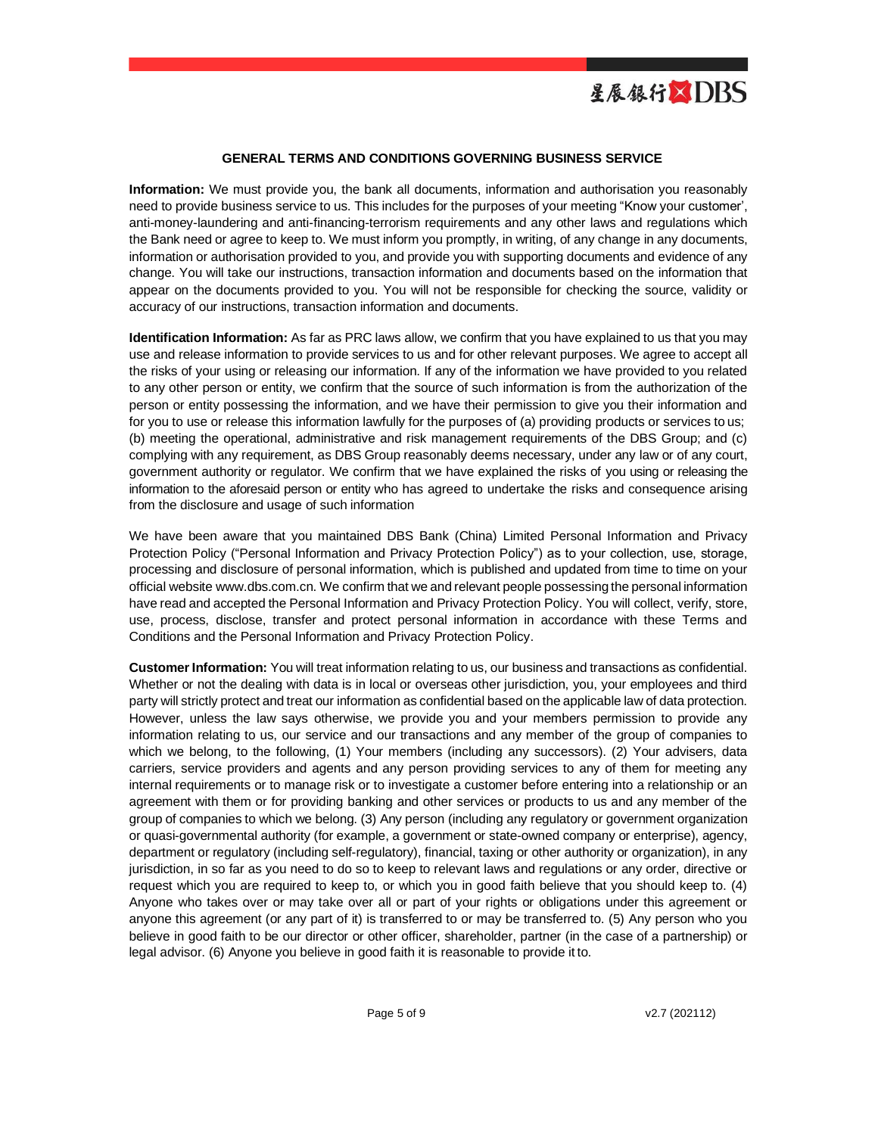

### **GENERAL TERMS AND CONDITIONS GOVERNING BUSINESS SERVICE**

**Information:** We must provide you, the bank all documents, information and authorisation you reasonably need to provide business service to us. This includes for the purposes of your meeting "Know your customer', anti-money-laundering and anti-financing-terrorism requirements and any other laws and regulations which the Bank need or agree to keep to. We must inform you promptly, in writing, of any change in any documents, information or authorisation provided to you, and provide you with supporting documents and evidence of any change. You will take our instructions, transaction information and documents based on the information that appear on the documents provided to you. You will not be responsible for checking the source, validity or accuracy of our instructions, transaction information and documents.

**Identification Information:** As far as PRC laws allow, we confirm that you have explained to us that you may use and release information to provide services to us and for other relevant purposes. We agree to accept all the risks of your using or releasing our information. If any of the information we have provided to you related to any other person or entity, we confirm that the source of such information is from the authorization of the person or entity possessing the information, and we have their permission to give you their information and for you to use or release this information lawfully for the purposes of (a) providing products or services to us; (b) meeting the operational, administrative and risk management requirements of the DBS Group; and (c) complying with any requirement, as DBS Group reasonably deems necessary, under any law or of any court, government authority or regulator. We confirm that we have explained the risks of you using or releasing the information to the aforesaid person or entity who has agreed to undertake the risks and consequence arising from the disclosure and usage of such information

We have been aware that you maintained DBS Bank (China) Limited Personal Information and Privacy Protection Policy ("Personal Information and Privacy Protection Policy") as to your collection, use, storage, processing and disclosure of personal information, which is published and updated from time to time on your official websit[e www.dbs.com.cn. W](http://www.dbs.com.cn/)e confirm that we and relevant people possessing the personal information have read and accepted the Personal Information and Privacy Protection Policy. You will collect, verify, store, use, process, disclose, transfer and protect personal information in accordance with these Terms and Conditions and the Personal Information and Privacy Protection Policy.

**Customer Information:** You will treat information relating to us, our business and transactions as confidential. Whether or not the dealing with data is in local or overseas other jurisdiction, you, your employees and third party will strictly protect and treat our information as confidential based on the applicable law of data protection. However, unless the law says otherwise, we provide you and your members permission to provide any information relating to us, our service and our transactions and any member of the group of companies to which we belong, to the following, (1) Your members (including any successors). (2) Your advisers, data carriers, service providers and agents and any person providing services to any of them for meeting any internal requirements or to manage risk or to investigate a customer before entering into a relationship or an agreement with them or for providing banking and other services or products to us and any member of the group of companies to which we belong. (3) Any person (including any regulatory or government organization or quasi-governmental authority (for example, a government or state-owned company or enterprise), agency, department or regulatory (including self-regulatory), financial, taxing or other authority or organization), in any jurisdiction, in so far as you need to do so to keep to relevant laws and regulations or any order, directive or request which you are required to keep to, or which you in good faith believe that you should keep to. (4) Anyone who takes over or may take over all or part of your rights or obligations under this agreement or anyone this agreement (or any part of it) is transferred to or may be transferred to. (5) Any person who you believe in good faith to be our director or other officer, shareholder, partner (in the case of a partnership) or legal advisor. (6) Anyone you believe in good faith it is reasonable to provide it to.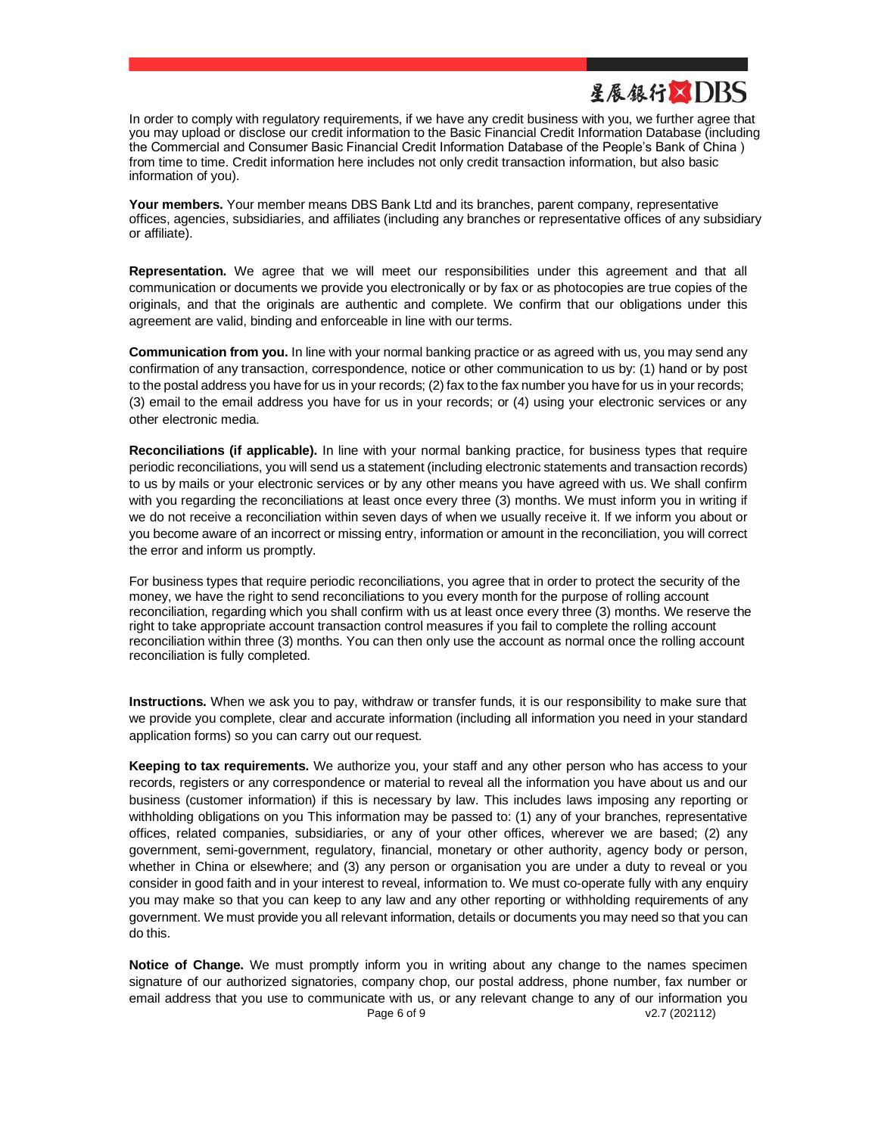

In order to comply with regulatory requirements, if we have any credit business with you, we further agree that you may upload or disclose our credit information to the Basic Financial Credit Information Database (including the Commercial and Consumer Basic Financial Credit Information Database of the People's Bank of China ) from time to time. Credit information here includes not only credit transaction information, but also basic information of you).

**Your members.** Your member means DBS Bank Ltd and its branches, parent company, representative offices, agencies, subsidiaries, and affiliates (including any branches or representative offices of any subsidiary or affiliate).

**Representation.** We agree that we will meet our responsibilities under this agreement and that all communication or documents we provide you electronically or by fax or as photocopies are true copies of the originals, and that the originals are authentic and complete. We confirm that our obligations under this agreement are valid, binding and enforceable in line with our terms.

**Communication from you.** In line with your normal banking practice or as agreed with us, you may send any confirmation of any transaction, correspondence, notice or other communication to us by: (1) hand or by post to the postal address you have for us in your records; (2) fax to the fax number you have for us in your records; (3) email to the email address you have for us in your records; or (4) using your electronic services or any other electronic media.

**Reconciliations (if applicable).** In line with your normal banking practice, for business types that require periodic reconciliations, you will send us a statement (including electronic statements and transaction records) to us by mails or your electronic services or by any other means you have agreed with us. We shall confirm with you regarding the reconciliations at least once every three (3) months. We must inform you in writing if we do not receive a reconciliation within seven days of when we usually receive it. If we inform you about or you become aware of an incorrect or missing entry, information or amount in the reconciliation, you will correct the error and inform us promptly.

For business types that require periodic reconciliations, you agree that in order to protect the security of the money, we have the right to send reconciliations to you every month for the purpose of rolling account reconciliation, regarding which you shall confirm with us at least once every three (3) months. We reserve the right to take appropriate account transaction control measures if you fail to complete the rolling account reconciliation within three (3) months. You can then only use the account as normal once the rolling account reconciliation is fully completed.

**Instructions.** When we ask you to pay, withdraw or transfer funds, it is our responsibility to make sure that we provide you complete, clear and accurate information (including all information you need in your standard application forms) so you can carry out our request.

**Keeping to tax requirements.** We authorize you, your staff and any other person who has access to your records, registers or any correspondence or material to reveal all the information you have about us and our business (customer information) if this is necessary by law. This includes laws imposing any reporting or withholding obligations on you This information may be passed to: (1) any of your branches, representative offices, related companies, subsidiaries, or any of your other offices, wherever we are based; (2) any government, semi-government, regulatory, financial, monetary or other authority, agency body or person, whether in China or elsewhere; and (3) any person or organisation you are under a duty to reveal or you consider in good faith and in your interest to reveal, information to. We must co-operate fully with any enquiry you may make so that you can keep to any law and any other reporting or withholding requirements of any government. We must provide you all relevant information, details or documents you may need so that you can do this.

Page 6 of 9 v2.7 (202112) **Notice of Change.** We must promptly inform you in writing about any change to the names specimen signature of our authorized signatories, company chop, our postal address, phone number, fax number or email address that you use to communicate with us, or any relevant change to any of our information you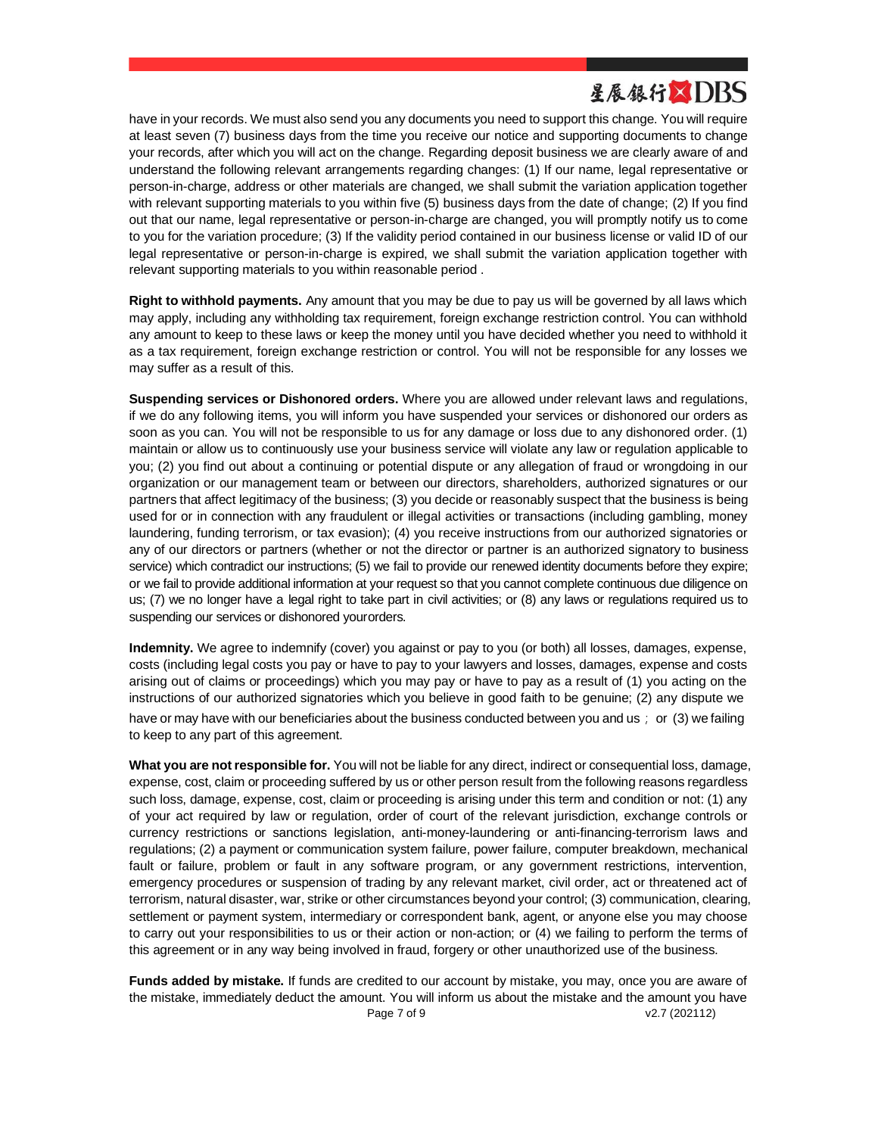have in your records. We must also send you any documents you need to support this change. You will require at least seven (7) business days from the time you receive our notice and supporting documents to change your records, after which you will act on the change. Regarding deposit business we are clearly aware of and understand the following relevant arrangements regarding changes: (1) If our name, legal representative or person-in-charge, address or other materials are changed, we shall submit the variation application together with relevant supporting materials to you within five (5) business days from the date of change; (2) If you find out that our name, legal representative or person-in-charge are changed, you will promptly notify us to come to you for the variation procedure; (3) If the validity period contained in our business license or valid ID of our legal representative or person-in-charge is expired, we shall submit the variation application together with relevant supporting materials to you within reasonable period .

**Right to withhold payments.** Any amount that you may be due to pay us will be governed by all laws which may apply, including any withholding tax requirement, foreign exchange restriction control. You can withhold any amount to keep to these laws or keep the money until you have decided whether you need to withhold it as a tax requirement, foreign exchange restriction or control. You will not be responsible for any losses we may suffer as a result of this.

**Suspending services or Dishonored orders.** Where you are allowed under relevant laws and regulations, if we do any following items, you will inform you have suspended your services or dishonored our orders as soon as you can. You will not be responsible to us for any damage or loss due to any dishonored order. (1) maintain or allow us to continuously use your business service will violate any law or regulation applicable to you; (2) you find out about a continuing or potential dispute or any allegation of fraud or wrongdoing in our organization or our management team or between our directors, shareholders, authorized signatures or our partners that affect legitimacy of the business; (3) you decide or reasonably suspect that the business is being used for or in connection with any fraudulent or illegal activities or transactions (including gambling, money laundering, funding terrorism, or tax evasion); (4) you receive instructions from our authorized signatories or any of our directors or partners (whether or not the director or partner is an authorized signatory to business service) which contradict our instructions; (5) we fail to provide our renewed identity documents before they expire; or we fail to provide additional information at your request so that you cannot complete continuous due diligence on us; (7) we no longer have a legal right to take part in civil activities; or (8) any laws or regulations required us to suspending our services or dishonored yourorders.

**Indemnity.** We agree to indemnify (cover) you against or pay to you (or both) all losses, damages, expense, costs (including legal costs you pay or have to pay to your lawyers and losses, damages, expense and costs arising out of claims or proceedings) which you may pay or have to pay as a result of (1) you acting on the instructions of our authorized signatories which you believe in good faith to be genuine; (2) any dispute we have or may have with our beneficiaries about the business conducted between you and us; or (3) we failing to keep to any part of this agreement.

**What you are not responsible for.** You will not be liable for any direct, indirect or consequential loss, damage, expense, cost, claim or proceeding suffered by us or other person result from the following reasons regardless such loss, damage, expense, cost, claim or proceeding is arising under this term and condition or not: (1) any of your act required by law or regulation, order of court of the relevant jurisdiction, exchange controls or currency restrictions or sanctions legislation, anti-money-laundering or anti-financing-terrorism laws and regulations; (2) a payment or communication system failure, power failure, computer breakdown, mechanical fault or failure, problem or fault in any software program, or any government restrictions, intervention, emergency procedures or suspension of trading by any relevant market, civil order, act or threatened act of terrorism, natural disaster, war, strike or other circumstances beyond your control; (3) communication, clearing, settlement or payment system, intermediary or correspondent bank, agent, or anyone else you may choose to carry out your responsibilities to us or their action or non-action; or (4) we failing to perform the terms of this agreement or in any way being involved in fraud, forgery or other unauthorized use of the business.

Page 7 of 9 v2.7 (202112) **Funds added by mistake.** If funds are credited to our account by mistake, you may, once you are aware of the mistake, immediately deduct the amount. You will inform us about the mistake and the amount you have